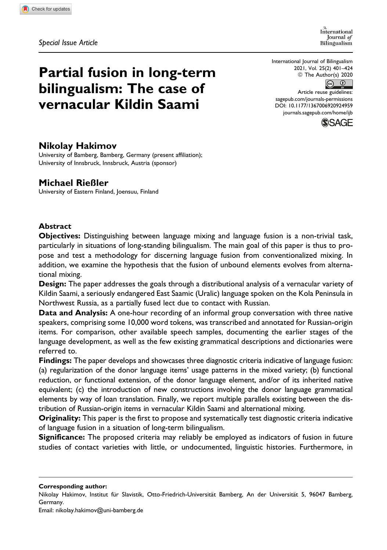*Special Issue Article*

International Iournal of Bilingualism

International Journal of Bilingualism 2021, Vol. 25(2) 401–424 © The Author(s) 2020



Article reuse guidelines: [sagepub.com/journals-permissions](https://sagepub.com/journals-permissions) [DOI: 10.1177/1367006920924959](https://doi.org/10.1177/1367006920924959) [journals.sagepub.com/home/ijb](http://journals.sagepub.com/home/ijb)



# **Nikolay Hakimov**

University of Bamberg, Bamberg, Germany (present affiliation); University of Innsbruck, Innsbruck, Austria (sponsor)

**Partial fusion in long-term**

**bilingualism: The case of vernacular Kildin Saami**

# **Michael Rießler**

University of Eastern Finland, Joensuu, Finland

## **Abstract**

**Objectives:** Distinguishing between language mixing and language fusion is a non-trivial task, particularly in situations of long-standing bilingualism. The main goal of this paper is thus to propose and test a methodology for discerning language fusion from conventionalized mixing. In addition, we examine the hypothesis that the fusion of unbound elements evolves from alternational mixing.

**Design:** The paper addresses the goals through a distributional analysis of a vernacular variety of Kildin Saami, a seriously endangered East Saamic (Uralic) language spoken on the Kola Peninsula in Northwest Russia, as a partially fused lect due to contact with Russian.

**Data and Analysis:** A one-hour recording of an informal group conversation with three native speakers, comprising some 10,000 word tokens, was transcribed and annotated for Russian-origin items. For comparison, other available speech samples, documenting the earlier stages of the language development, as well as the few existing grammatical descriptions and dictionaries were referred to.

**Findings:** The paper develops and showcases three diagnostic criteria indicative of language fusion: (a) regularization of the donor language items' usage patterns in the mixed variety; (b) functional reduction, or functional extension, of the donor language element, and/or of its inherited native equivalent; (c) the introduction of new constructions involving the donor language grammatical elements by way of loan translation. Finally, we report multiple parallels existing between the distribution of Russian-origin items in vernacular Kildin Saami and alternational mixing.

**Originality:** This paper is the first to propose and systematically test diagnostic criteria indicative of language fusion in a situation of long-term bilingualism.

**Significance:** The proposed criteria may reliably be employed as indicators of fusion in future studies of contact varieties with little, or undocumented, linguistic histories. Furthermore, in

**Corresponding author:**

Email: [nikolay.hakimov@uni-bamberg.de](mailto:nikolay.hakimov@uni-bamberg.de)

Nikolay Hakimov, Institut für Slavistik, Otto-Friedrich-Universität Bamberg, An der Universität 5, 96047 Bamberg, Germany.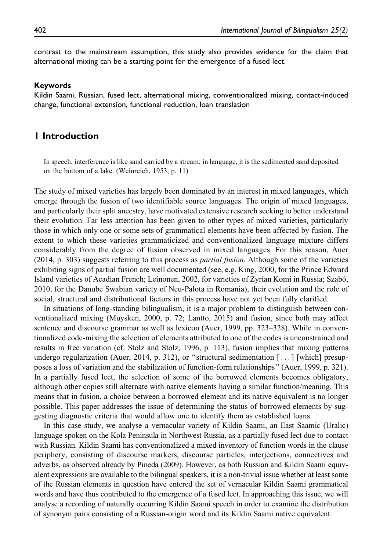contrast to the mainstream assumption, this study also provides evidence for the claim that alternational mixing can be a starting point for the emergence of a fused lect.

#### **Keywords**

Kildin Saami, Russian, fused lect, alternational mixing, conventionalized mixing, contact-induced change, functional extension, functional reduction, loan translation

# **1 Introduction**

In speech, interference is like sand carried by a stream; in language, it is the sedimented sand deposited on the bottom of a lake. (Weinreich, 1953, p. 11)

The study of mixed varieties has largely been dominated by an interest in mixed languages, which emerge through the fusion of two identifiable source languages. The origin of mixed languages, and particularly their split ancestry, have motivated extensive research seeking to better understand their evolution. Far less attention has been given to other types of mixed varieties, particularly those in which only one or some sets of grammatical elements have been affected by fusion. The extent to which these varieties grammaticized and conventionalized language mixture differs considerably from the degree of fusion observed in mixed languages. For this reason, Auer (2014, p. 303) suggests referring to this process as partial fusion. Although some of the varieties exhibiting signs of partial fusion are well documented (see, e.g. King, 2000, for the Prince Edward Island varieties of Acadian French; Leinonen, 2002, for varieties of Zyrian Komi in Russia; Szab´o, 2010, for the Danube Swabian variety of Neu-Palota in Romania), their evolution and the role of social, structural and distributional factors in this process have not yet been fully clarified.

In situations of long-standing bilingualism, it is a major problem to distinguish between conventionalized mixing (Muysken, 2000, p. 72; Lantto, 2015) and fusion, since both may affect sentence and discourse grammar as well as lexicon (Auer, 1999, pp. 323–328). While in conventionalized code-mixing the selection of elements attributed to one of the codes is unconstrained and results in free variation (cf. Stolz and Stolz, 1996, p. 113), fusion implies that mixing patterns undergo regularization (Auer, 2014, p. 312), or "structural sedimentation  $[\dots]$  [which] presupposes a loss of variation and the stabilization of function-form relationships'' (Auer, 1999, p. 321). In a partially fused lect, the selection of some of the borrowed elements becomes obligatory, although other copies still alternate with native elements having a similar function/meaning. This means that in fusion, a choice between a borrowed element and its native equivalent is no longer possible. This paper addresses the issue of determining the status of borrowed elements by suggesting diagnostic criteria that would allow one to identify them as established loans.

In this case study, we analyse a vernacular variety of Kildin Saami, an East Saamic (Uralic) language spoken on the Kola Peninsula in Northwest Russia, as a partially fused lect due to contact with Russian. Kildin Saami has conventionalized a mixed inventory of function words in the clause periphery, consisting of discourse markers, discourse particles, interjections, connectives and adverbs, as observed already by Pineda (2009). However, as both Russian and Kildin Saami equivalent expressions are available to the bilingual speakers, it is a non-trivial issue whether at least some of the Russian elements in question have entered the set of vernacular Kildin Saami grammatical words and have thus contributed to the emergence of a fused lect. In approaching this issue, we will analyse a recording of naturally occurring Kildin Saami speech in order to examine the distribution of synonym pairs consisting of a Russian-origin word and its Kildin Saami native equivalent.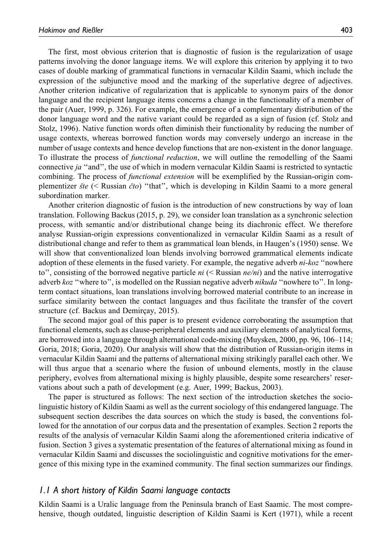The first, most obvious criterion that is diagnostic of fusion is the regularization of usage patterns involving the donor language items. We will explore this criterion by applying it to two cases of double marking of grammatical functions in vernacular Kildin Saami, which include the expression of the subjunctive mood and the marking of the superlative degree of adjectives. Another criterion indicative of regularization that is applicable to synonym pairs of the donor language and the recipient language items concerns a change in the functionality of a member of the pair (Auer, 1999, p. 326). For example, the emergence of a complementary distribution of the donor language word and the native variant could be regarded as a sign of fusion (cf. Stolz and Stolz, 1996). Native function words often diminish their functionality by reducing the number of usage contexts, whereas borrowed function words may conversely undergo an increase in the number of usage contexts and hence develop functions that are non-existent in the donor language. To illustrate the process of functional reduction, we will outline the remodelling of the Saami connective *ja* "and", the use of which in modern vernacular Kildin Saami is restricted to syntactic combining. The process of *functional extension* will be exemplified by the Russian-origin complementizer  $\delta t e$  (< Russian  $\dot{c}$  to  $\dot{c}$  "that", which is developing in Kildin Saami to a more general subordination marker.

Another criterion diagnostic of fusion is the introduction of new constructions by way of loan translation. Following Backus (2015, p. 29), we consider loan translation as a synchronic selection process, with semantic and/or distributional change being its diachronic effect. We therefore analyse Russian-origin expressions conventionalized in vernacular Kildin Saami as a result of distributional change and refer to them as grammatical loan blends, in Haugen's (1950) sense. We will show that conventionalized loan blends involving borrowed grammatical elements indicate adoption of these elements in the fused variety. For example, the negative adverb *ni-koz* "nowhere to", consisting of the borrowed negative particle *ni* (< Russian *ne/ni*) and the native interrogative adverb koz "where to", is modelled on the Russian negative adverb *nikuda* "nowhere to". In longterm contact situations, loan translations involving borrowed material contribute to an increase in surface similarity between the contact languages and thus facilitate the transfer of the covert structure (cf. Backus and Demircay, 2015).

The second major goal of this paper is to present evidence corroborating the assumption that functional elements, such as clause-peripheral elements and auxiliary elements of analytical forms, are borrowed into a language through alternational code-mixing (Muysken, 2000, pp. 96, 106–114; Goria, 2018; Goria, 2020). Our analysis will show that the distribution of Russian-origin items in vernacular Kildin Saami and the patterns of alternational mixing strikingly parallel each other. We will thus argue that a scenario where the fusion of unbound elements, mostly in the clause periphery, evolves from alternational mixing is highly plausible, despite some researchers' reservations about such a path of development (e.g. Auer, 1999; Backus, 2003).

The paper is structured as follows: The next section of the introduction sketches the sociolinguistic history of Kildin Saami as well as the current sociology of this endangered language. The subsequent section describes the data sources on which the study is based, the conventions followed for the annotation of our corpus data and the presentation of examples. Section 2 reports the results of the analysis of vernacular Kildin Saami along the aforementioned criteria indicative of fusion. Section 3 gives a systematic presentation of the features of alternational mixing as found in vernacular Kildin Saami and discusses the sociolinguistic and cognitive motivations for the emergence of this mixing type in the examined community. The final section summarizes our findings.

## *1.1 A short history of Kildin Saami language contacts*

Kildin Saami is a Uralic language from the Peninsula branch of East Saamic. The most comprehensive, though outdated, linguistic description of Kildin Saami is Kert (1971), while a recent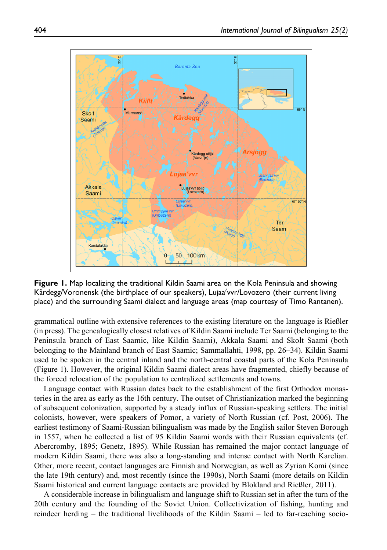

**Figure 1.** Map localizing the traditional Kildin Saami area on the Kola Peninsula and showing Kårdegg/Voronensk (the birthplace of our speakers), Lujaa'vvr/Lovozero (their current living place) and the surrounding Saami dialect and language areas (map courtesy of Timo Rantanen).

grammatical outline with extensive references to the existing literature on the language is Rießler (in press). The genealogically closest relatives of Kildin Saami include Ter Saami (belonging to the Peninsula branch of East Saamic, like Kildin Saami), Akkala Saami and Skolt Saami (both belonging to the Mainland branch of East Saamic; Sammallahti, 1998, pp. 26–34). Kildin Saami used to be spoken in the central inland and the north-central coastal parts of the Kola Peninsula (Figure 1). However, the original Kildin Saami dialect areas have fragmented, chiefly because of the forced relocation of the population to centralized settlements and towns.

Language contact with Russian dates back to the establishment of the first Orthodox monasteries in the area as early as the 16th century. The outset of Christianization marked the beginning of subsequent colonization, supported by a steady influx of Russian-speaking settlers. The initial colonists, however, were speakers of Pomor, a variety of North Russian (cf. Post, 2006). The earliest testimony of Saami-Russian bilingualism was made by the English sailor Steven Borough in 1557, when he collected a list of 95 Kildin Saami words with their Russian equivalents (cf. Abercromby, 1895; Genetz, 1895). While Russian has remained the major contact language of modern Kildin Saami, there was also a long-standing and intense contact with North Karelian. Other, more recent, contact languages are Finnish and Norwegian, as well as Zyrian Komi (since the late 19th century) and, most recently (since the 1990s), North Saami (more details on Kildin Saami historical and current language contacts are provided by Blokland and Rießler, 2011).

A considerable increase in bilingualism and language shift to Russian set in after the turn of the 20th century and the founding of the Soviet Union. Collectivization of fishing, hunting and reindeer herding – the traditional livelihoods of the Kildin Saami – led to far-reaching socio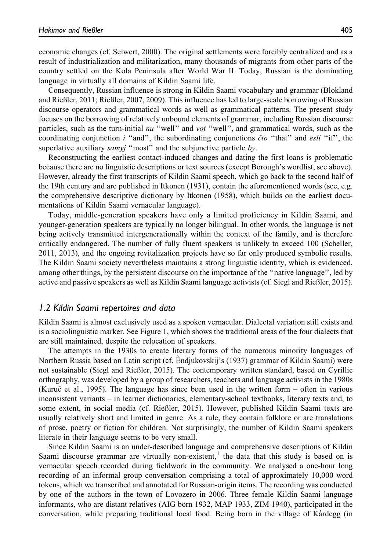economic changes (cf. Seiwert, 2000). The original settlements were forcibly centralized and as a result of industrialization and militarization, many thousands of migrants from other parts of the country settled on the Kola Peninsula after World War II. Today, Russian is the dominating language in virtually all domains of Kildin Saami life.

Consequently, Russian influence is strong in Kildin Saami vocabulary and grammar (Blokland and Rießler, 2011; Rießler, 2007, 2009). This influence has led to large-scale borrowing of Russian discourse operators and grammatical words as well as grammatical patterns. The present study focuses on the borrowing of relatively unbound elements of grammar, including Russian discourse particles, such as the turn-initial  $nu$  "well" and  $vot$  "well", and grammatical words, such as the coordinating conjunction i "and", the subordinating conjunctions  $\check{c}$  to "that" and esli "if", the superlative auxiliary  $samyj$  "most" and the subjunctive particle by.

Reconstructing the earliest contact-induced changes and dating the first loans is problematic because there are no linguistic descriptions or text sources (except Borough's wordlist, see above). However, already the first transcripts of Kildin Saami speech, which go back to the second half of the 19th century and are published in Itkonen (1931), contain the aforementioned words (see, e.g. the comprehensive descriptive dictionary by Itkonen (1958), which builds on the earliest documentations of Kildin Saami vernacular language).

Today, middle-generation speakers have only a limited proficiency in Kildin Saami, and younger-generation speakers are typically no longer bilingual. In other words, the language is not being actively transmitted intergenerationally within the context of the family, and is therefore critically endangered. The number of fully fluent speakers is unlikely to exceed 100 (Scheller, 2011, 2013), and the ongoing revitalization projects have so far only produced symbolic results. The Kildin Saami society nevertheless maintains a strong linguistic identity, which is evidenced, among other things, by the persistent discourse on the importance of the ''native language'', led by active and passive speakers as well as Kildin Saami language activists (cf. Siegl and Rießler, 2015).

## *1.2 Kildin Saami repertoires and data*

Kildin Saami is almost exclusively used as a spoken vernacular. Dialectal variation still exists and is a sociolinguistic marker. See Figure 1, which shows the traditional areas of the four dialects that are still maintained, despite the relocation of speakers.

The attempts in the 1930s to create literary forms of the numerous minority languages of Northern Russia based on Latin script (cf. Endjukovskij's (1937) grammar of Kildin Saami) were ` not sustainable (Siegl and Rießler, 2015). The contemporary written standard, based on Cyrillic orthography, was developed by a group of researchers, teachers and language activists in the 1980s (Kuruč et al., 1995). The language has since been used in the written form  $-$  often in various inconsistent variants – in learner dictionaries, elementary-school textbooks, literary texts and, to some extent, in social media (cf. Rießler, 2015). However, published Kildin Saami texts are usually relatively short and limited in genre. As a rule, they contain folklore or are translations of prose, poetry or fiction for children. Not surprisingly, the number of Kildin Saami speakers literate in their language seems to be very small.

Since Kildin Saami is an under-described language and comprehensive descriptions of Kildin Saami discourse grammar are virtually non-existent,<sup>1</sup> the data that this study is based on is vernacular speech recorded during fieldwork in the community. We analysed a one-hour long recording of an informal group conversation comprising a total of approximately 10,000 word tokens, which we transcribed and annotated for Russian-origin items. The recording was conducted by one of the authors in the town of Lovozero in 2006. Three female Kildin Saami language informants, who are distant relatives (AIG born 1932, MAP 1933, ZIM 1940), participated in the conversation, while preparing traditional local food. Being born in the village of Kårdegg (in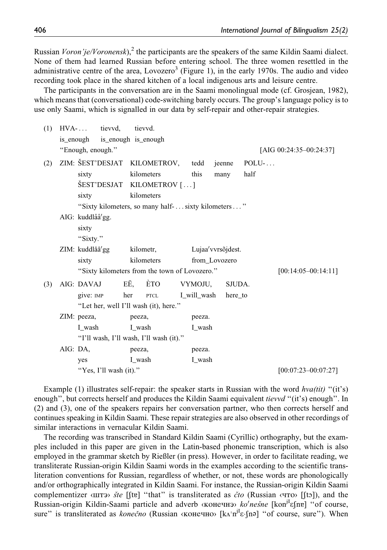Russian *Voron'je/Voronensk*),<sup>2</sup> the participants are the speakers of the same Kildin Saami dialect. None of them had learned Russian before entering school. The three women resettled in the administrative centre of the area, Lovozero<sup>3</sup> (Figure 1), in the early 1970s. The audio and video recording took place in the shared kitchen of a local indigenous arts and leisure centre.

The participants in the conversation are in the Saami monolingual mode (cf. Grosjean, 1982), which means that (conversational) code-switching barely occurs. The group's language policy is to use only Saami, which is signalled in our data by self-repair and other-repair strategies.

| (1) | $HVA$ - tievvd,               |                        | tievyd.                                            |             |                    |          |                         |
|-----|-------------------------------|------------------------|----------------------------------------------------|-------------|--------------------|----------|-------------------------|
|     | is_enough is_enough is_enough |                        |                                                    |             |                    |          |                         |
|     | "Enough, enough."             |                        |                                                    |             |                    |          | [AIG 00:24:35-00:24:37] |
| (2) | ZIM: ŠEST'DESJAT              |                        | KILOMETROV,                                        | tedd        | jeenne             | $POLU$ - |                         |
|     | sixty                         |                        | kilometers                                         | this        | many               | half     |                         |
|     |                               | SEST'DESJAT            | KILOMETROV []                                      |             |                    |          |                         |
|     | sixty                         |                        | kilometers                                         |             |                    |          |                         |
|     |                               |                        | "Sixty kilometers, so many half- sixty kilometers" |             |                    |          |                         |
|     | AIG: kuddlåå'gg.              |                        |                                                    |             |                    |          |                         |
|     | sixty                         |                        |                                                    |             |                    |          |                         |
|     | "Sixty."                      |                        |                                                    |             |                    |          |                         |
|     | ZIM: kuddlåå'gg               |                        | kilometr,                                          |             | Lujaa' vvrsõjdest. |          |                         |
|     | sixty                         |                        | kilometers                                         |             | from Lovozero      |          |                         |
|     |                               |                        | "Sixty kilometers from the town of Lovozero."      |             |                    |          | $[00:14:05-00:14:11]$   |
| (3) | AIG: DAVAJ                    |                        | EË,<br>ÈTO                                         | VYMOJU,     | SJUDA.             |          |                         |
|     | give: IMP                     | her                    | ${\tt PTCL}$                                       | I_will_wash | here to            |          |                         |
|     |                               |                        | "Let her, well I'll wash (it), here."              |             |                    |          |                         |
|     | ZIM: peeza,                   |                        | peeza,                                             | peeza.      |                    |          |                         |
|     | I wash                        |                        | I wash                                             | I wash      |                    |          |                         |
|     |                               |                        | "I'll wash, I'll wash, I'll wash (it)."            |             |                    |          |                         |
|     | AIG: DA,                      |                        | peeza,                                             | peeza.      |                    |          |                         |
|     | yes                           |                        | I_wash                                             | I_wash      |                    |          |                         |
|     |                               | "Yes, I'll wash (it)." |                                                    |             |                    |          | $[00:07:23-00:07:27]$   |

Example (1) illustrates self-repair: the speaker starts in Russian with the word  $hva(tit)$  "(it's) enough", but corrects herself and produces the Kildin Saami equivalent *tievvd* "(it's) enough". In (2) and (3), one of the speakers repairs her conversation partner, who then corrects herself and continues speaking in Kildin Saami. These repair strategies are also observed in other recordings of similar interactions in vernacular Kildin Saami.

The recording was transcribed in Standard Kildin Saami (Cyrillic) orthography, but the examples included in this paper are given in the Latin-based phonemic transcription, which is also employed in the grammar sketch by Rießler (in press). However, in order to facilitate reading, we transliterate Russian-origin Kildin Saami words in the examples according to the scientific transliteration conventions for Russian, regardless of whether, or not, these words are phonologically and/or orthographically integrated in Kildin Saami. For instance, the Russian-origin Kildin Saami complementizer  $\langle \text{IIT3} \rangle$  ste  $[[\text{ft2}]$  "that" is transliterated as *cto* (Russian  $\langle \text{IT3} \rangle$ ), and the Russian-origin Kildin-Saami particle and adverb «конечнэ» ko'nesne [koni<sup>I</sup>efne] "of course, sure" is transliterated as *konečno* (Russian «конечно» [kʌˈn<sup>iI</sup>ɛ-ʃnə] "of course, sure"). When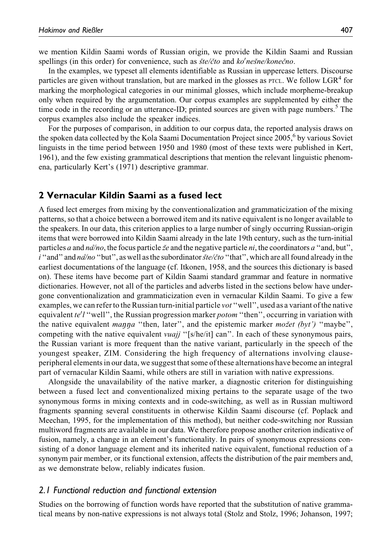we mention Kildin Saami words of Russian origin, we provide the Kildin Saami and Russian spellings (in this order) for convenience, such as šte/čto and ko'nešne/konečno.

In the examples, we typeset all elements identifiable as Russian in uppercase letters. Discourse particles are given without translation, but are marked in the glosses as  $\text{prc}$ . We follow  $\text{LGR}^4$  for marking the morphological categories in our minimal glosses, which include morpheme-breakup only when required by the argumentation. Our corpus examples are supplemented by either the time code in the recording or an utterance-ID; printed sources are given with page numbers. $5$  The corpus examples also include the speaker indices.

For the purposes of comparison, in addition to our corpus data, the reported analysis draws on the spoken data collected by the Kola Saami Documentation Project since  $2005<sup>6</sup>$  by various Soviet linguists in the time period between 1950 and 1980 (most of these texts were published in Kert, 1961), and the few existing grammatical descriptions that mention the relevant linguistic phenomena, particularly Kert's (1971) descriptive grammar.

# **2 Vernacular Kildin Saami as a fused lect**

A fused lect emerges from mixing by the conventionalization and grammaticization of the mixing patterns, so that a choice between a borrowed item and its native equivalent is no longer available to the speakers. In our data, this criterion applies to a large number of singly occurring Russian-origin items that were borrowed into Kildin Saami already in the late 19th century, such as the turn-initial particles a and  $n\alpha$ <sup>n</sup>/no, the focus particle  $\breve{z}e$  and the negative particle ni, the coordinators a "and, but", i'and'' and  $n\alpha$ <sup>'</sup>' no "but", as well as the subordinator  $\delta t e/\delta t$  "that", which are all found already in the earliest documentations of the language (cf. Itkonen, 1958, and the sources this dictionary is based on). These items have become part of Kildin Saami standard grammar and feature in normative dictionaries. However, not all of the particles and adverbs listed in the sections below have undergone conventionalization and grammaticization even in vernacular Kildin Saami. To give a few examples, we can refer to the Russian turn-initial particle *vot* "well", used as a variant of the native equivalent te'l "well", the Russian progression marker potom "then", occurring in variation with the native equivalent *manna* "then, later", and the epistemic marker *možet* (byt') "maybe", competing with the native equivalent *vuajj* "[s/he/it] can". In each of these synonymous pairs, the Russian variant is more frequent than the native variant, particularly in the speech of the youngest speaker, ZIM. Considering the high frequency of alternations involving clauseperipheral elements in our data, we suggest that some of these alternations have become an integral part of vernacular Kildin Saami, while others are still in variation with native expressions.

Alongside the unavailability of the native marker, a diagnostic criterion for distinguishing between a fused lect and conventionalized mixing pertains to the separate usage of the two synonymous forms in mixing contexts and in code-switching, as well as in Russian multiword fragments spanning several constituents in otherwise Kildin Saami discourse (cf. Poplack and Meechan, 1995, for the implementation of this method), but neither code-switching nor Russian multiword fragments are available in our data. We therefore propose another criterion indicative of fusion, namely, a change in an element's functionality. In pairs of synonymous expressions consisting of a donor language element and its inherited native equivalent, functional reduction of a synonym pair member, or its functional extension, affects the distribution of the pair members and, as we demonstrate below, reliably indicates fusion.

## *2.1 Functional reduction and functional extension*

Studies on the borrowing of function words have reported that the substitution of native grammatical means by non-native expressions is not always total (Stolz and Stolz, 1996; Johanson, 1997;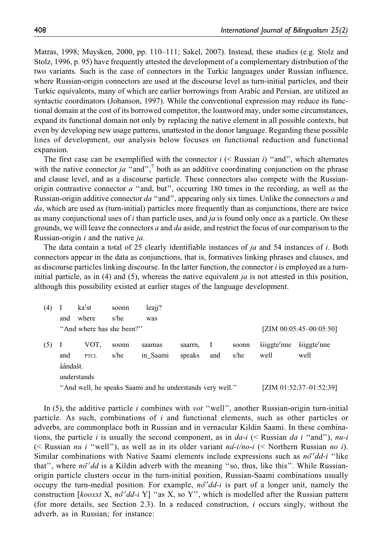Matras, 1998; Muysken, 2000, pp. 110–111; Sakel, 2007). Instead, these studies (e.g. Stolz and Stolz, 1996, p. 95) have frequently attested the development of a complementary distribution of the two variants. Such is the case of connectors in the Turkic languages under Russian influence, where Russian-origin connectors are used at the discourse level as turn-initial particles, and their Turkic equivalents, many of which are earlier borrowings from Arabic and Persian, are utilized as syntactic coordinators (Johanson, 1997). While the conventional expression may reduce its functional domain at the cost of its borrowed competitor, the loanword may, under some circumstances, expand its functional domain not only by replacing the native element in all possible contexts, but even by developing new usage patterns, unattested in the donor language. Regarding these possible lines of development, our analysis below focuses on functional reduction and functional expansion.

The first case can be exemplified with the connector  $i \leq R$  assign i) "and", which alternates with the native connector *ja* "and",<sup>7</sup> both as an additive coordinating conjunction on the phrase and clause level, and as a discourse particle. These connectors also compete with the Russianorigin contrastive connector  $a$  "and, but", occurring 180 times in the recording, as well as the Russian-origin additive connector da "and", appearing only six times. Unlike the connectors a and da, which are used as (turn-initial) particles more frequently than as conjunctions, there are twice as many conjunctional uses of  $i$  than particle uses, and  $ja$  is found only once as a particle. On these grounds, we will leave the connectors a and da aside, and restrict the focus of our comparison to the Russian-origin  $i$  and the native  $ja$ .

The data contain a total of 25 clearly identifiable instances of  $ja$  and 54 instances of  $i$ . Both connectors appear in the data as conjunctions, that is, formatives linking phrases and clauses, and as discourse particles linking discourse. In the latter function, the connector i is employed as a turninitial particle, as in (4) and (5), whereas the native equivalent *ja* is not attested in this position, although this possibility existed at earlier stages of the language development.

| (4) |          | ka'st                     | soonn | leaji?                                                    |         |     |       |             |                            |
|-----|----------|---------------------------|-------|-----------------------------------------------------------|---------|-----|-------|-------------|----------------------------|
|     | and      | where                     | s/he  | was                                                       |         |     |       |             |                            |
|     |          | "And where has she been?" |       |                                                           |         |     |       |             | [ZIM $00:05:45-00:05:50$ ] |
| (5) |          | VOT.                      | soonn | saamas                                                    | saarrn. | - 1 | soonn | šiiggte'nne | šiiggte'nne                |
|     | and      | <b>PTCL</b>               | s/he  | in Saami                                                  | speaks  | and | s/he  | well        | well                       |
|     | ååndašt. |                           |       |                                                           |         |     |       |             |                            |
|     |          | understands               |       |                                                           |         |     |       |             |                            |
|     |          |                           |       | "And well, he speaks Saami and he understands very well." |         |     |       |             | [ZIM 01:52:37-01:52:39]    |

In  $(5)$ , the additive particle *i* combines with *vot* "well", another Russian-origin turn-initial particle. As such, combinations of i and functional elements, such as other particles or adverbs, are commonplace both in Russian and in vernacular Kildin Saami. In these combinations, the particle i is usually the second component, as in  $da-i$  (< Russian da i "and"), nu-i (< Russian *nu i* "well"), as well as in its older variant  $n\hat{a}$ -i/no-i (< Northern Russian no i). Similar combinations with Native Saami elements include expressions such as  $n\tilde{o}'dd-i$  "like that", where  $n\delta'$ dd is a Kildin adverb with the meaning "so, thus, like this". While Russianorigin particle clusters occur in the turn-initial position, Russian-Saami combinations usually occupy the turn-medial position. For example,  $n\delta' d d - i$  is part of a longer unit, namely the construction [ $kooxxt X$ ,  $n\delta'dd-i Y$ ] "as X, so Y", which is modelled after the Russian pattern (for more details, see Section 2.3). In a reduced construction, i occurs singly, without the adverb, as in Russian; for instance: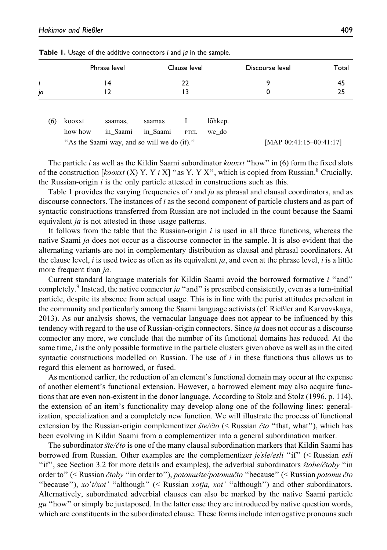|     |         | Phrase level                                |          | Clause level |         | Discourse level            | Total |
|-----|---------|---------------------------------------------|----------|--------------|---------|----------------------------|-------|
| i   |         | 14                                          |          | 22           |         | 9                          | 45    |
| ja  |         | 12                                          |          | 13           |         | 0                          | 25    |
|     |         |                                             |          |              |         |                            |       |
| (6) | kooxxt  | saamas,                                     | saamas   |              | lõhkep. |                            |       |
|     | how how | in Saami                                    | in Saami | <b>PTCL</b>  | we do   |                            |       |
|     |         | "As the Saami way, and so will we do (it)." |          |              |         | [MAP $00:41:15-00:41:17$ ] |       |

**Table 1.** Usage of the additive connectors *i* and *ja* in the sample.

The particle i as well as the Kildin Saami subordinator  $k_{\text{0}}$  to  $k_{\text{0}}$  over the fixed slots of the construction  $\left[ko\right]$  (X) Y, Y i X] "as Y, Y X", which is copied from Russian.<sup>8</sup> Crucially, the Russian-origin  $i$  is the only particle attested in constructions such as this.

Table 1 provides the varying frequencies of  $i$  and  $ja$  as phrasal and clausal coordinators, and as discourse connectors. The instances of i as the second component of particle clusters and as part of syntactic constructions transferred from Russian are not included in the count because the Saami equivalent *ja* is not attested in these usage patterns.

It follows from the table that the Russian-origin  $i$  is used in all three functions, whereas the native Saami ja does not occur as a discourse connector in the sample. It is also evident that the alternating variants are not in complementary distribution as clausal and phrasal coordinators. At the clause level,  $i$  is used twice as often as its equivalent  $ja$ , and even at the phrase level,  $i$  is a little more frequent than *ja*.

Current standard language materials for Kildin Saami avoid the borrowed formative i ''and'' completely.<sup>9</sup> Instead, the native connector *ja* "and" is prescribed consistently, even as a turn-initial particle, despite its absence from actual usage. This is in line with the purist attitudes prevalent in the community and particularly among the Saami language activists (cf. Rießler and Karvovskaya, 2013). As our analysis shows, the vernacular language does not appear to be influenced by this tendency with regard to the use of Russian-origin connectors. Since *ja* does not occur as a discourse connector any more, we conclude that the number of its functional domains has reduced. At the same time,  $i$  is the only possible formative in the particle clusters given above as well as in the cited syntactic constructions modelled on Russian. The use of  $i$  in these functions thus allows us to regard this element as borrowed, or fused.

As mentioned earlier, the reduction of an element's functional domain may occur at the expense of another element's functional extension. However, a borrowed element may also acquire functions that are even non-existent in the donor language. According to Stolz and Stolz (1996, p. 114), the extension of an item's functionality may develop along one of the following lines: generalization, specialization and a completely new function. We will illustrate the process of functional extension by the Russian-origin complementizer  $\dot{ste}/\dot{c}$  to  $\dot{ce}$  Russian  $\dot{c}$  to "that, what"), which has been evolving in Kildin Saami from a complementizer into a general subordination marker.

The subordinator  $\delta t$  is one of the many clausal subordination markers that Kildin Saami has borrowed from Russian. Other examples are the complementizer *je'sle/esli* "if" (< Russian *esli* "if", see Section 3.2 for more details and examples), the adverbial subordinators stobe/ čtoby "in order to" (< Russian *čtoby* "in order to"), *potomušte/potomučto* "because" (< Russian *potomu čto* "because"), xo't/xot' "although" (< Russian xotja, xot' "although") and other subordinators. Alternatively, subordinated adverbial clauses can also be marked by the native Saami particle gu ''how'' or simply be juxtaposed. In the latter case they are introduced by native question words, which are constituents in the subordinated clause. These forms include interrogative pronouns such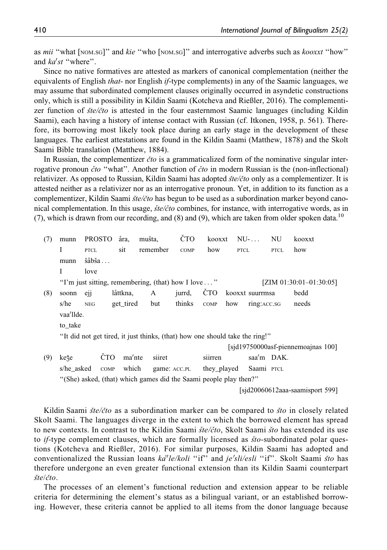as mii "what [NOM.SG]" and kie "who [NOM.SG]" and interrogative adverbs such as kooxxt "how" and ka'st "where".

Since no native formatives are attested as markers of canonical complementation (neither the equivalents of English *that*- nor English *if*-type complements) in any of the Saamic languages, we may assume that subordinated complement clauses originally occurred in asyndetic constructions only, which is still a possibility in Kildin Saami (Kotcheva and Rießler, 2016). The complementizer function of  $\delta t e/\delta t$  is attested in the four easternmost Saamic languages (including Kildin Saami), each having a history of intense contact with Russian (cf. Itkonen, 1958, p. 561). Therefore, its borrowing most likely took place during an early stage in the development of these languages. The earliest attestations are found in the Kildin Saami (Matthew, 1878) and the Skolt Saami Bible translation (Matthew, 1884).

In Russian, the complementizer  $\check{c}$  is a grammaticalized form of the nominative singular interrogative pronoun *čto* "what". Another function of *čto* in modern Russian is the (non-inflectional) relativizer. As opposed to Russian, Kildin Saami has adopted *šte/čto* only as a complementizer. It is attested neither as a relativizer nor as an interrogative pronoun. Yet, in addition to its function as a complementizer, Kildin Saami šte/čto has begun to be used as a subordination marker beyond canonical complementation. In this usage,  $\frac{size}{}$  *ite/* $\frac{cis}{cos}$  combines, for instance, with interrogative words, as in (7), which is drawn from our recording, and (8) and (9), which are taken from older spoken data.<sup>10</sup>

| (7) | munn       | <b>PROSTO</b> | åra.      | mušta,                                                                       | ĊТО          | kooxxt      |     | $NU$ -          | NU          | kooxxt                             |
|-----|------------|---------------|-----------|------------------------------------------------------------------------------|--------------|-------------|-----|-----------------|-------------|------------------------------------|
|     | I          | <b>PTCL</b>   | sit       | remember                                                                     | COMP         | how         |     | <b>PTCL</b>     | <b>PTCL</b> | how                                |
|     | munn       | šåbša         |           |                                                                              |              |             |     |                 |             |                                    |
|     | L          | love          |           |                                                                              |              |             |     |                 |             |                                    |
|     |            |               |           | "I'm just sitting, remembering, (that) how I love "                          |              |             |     |                 |             | [ZIM $01:30:01-01:30:05$ ]         |
| (8) | soonn      | eji           | låttkna,  | A                                                                            | jurrd,       | <b>CTO</b>  |     | kooxxt suurrmsa |             | bedd                               |
|     | s/he       | <b>NEG</b>    | get_tired | but                                                                          | thinks       | COMP        | how | ring: ACC.SG    |             | needs                              |
|     | vaa'llde.  |               |           |                                                                              |              |             |     |                 |             |                                    |
|     | to take    |               |           |                                                                              |              |             |     |                 |             |                                    |
|     |            |               |           | "It did not get tired, it just thinks, (that) how one should take the ring!" |              |             |     |                 |             |                                    |
|     |            |               |           |                                                                              |              |             |     |                 |             | [sid19750000asf-piennemoainas 100] |
| (9) | keže       | <b>CTO</b>    | ma'nte    | siiret                                                                       |              | siirren     |     |                 | saa'm DAK.  |                                    |
|     | s/he_asked | COMP          | which     |                                                                              | game: ACC.PL | they_played |     | Saami PTCL      |             |                                    |
|     |            |               |           | "(She) asked, (that) which games did the Saami people play then?"            |              |             |     |                 |             |                                    |
|     |            |               |           |                                                                              |              |             |     |                 |             | [sid20060612aaa-saamisport 599]    |

Kildin Saami  $\frac{st}{e}{\hat{c}to}$  as a subordination marker can be compared to  $\frac{st}{o}$  in closely related Skolt Saami. The languages diverge in the extent to which the borrowed element has spread to new contexts. In contrast to the Kildin Saami  $\frac{\delta t}{\delta t}$ . Skolt Saami  $\frac{\delta t}{\delta t}$  has extended its use to  $if$ -type complement clauses, which are formally licensed as  $\delta$ to-subordinated polar questions (Kotcheva and Rießler, 2016). For similar purposes, Kildin Saami has adopted and conventionalized the Russian loans  $ka''le/koli$  "if" and  $je'sli/eshi$  "if". Skolt Saami *što* has therefore undergone an even greater functional extension than its Kildin Saami counterpart  $\check{S}te/\check{c}to$ .

The processes of an element's functional reduction and extension appear to be reliable criteria for determining the element's status as a bilingual variant, or an established borrowing. However, these criteria cannot be applied to all items from the donor language because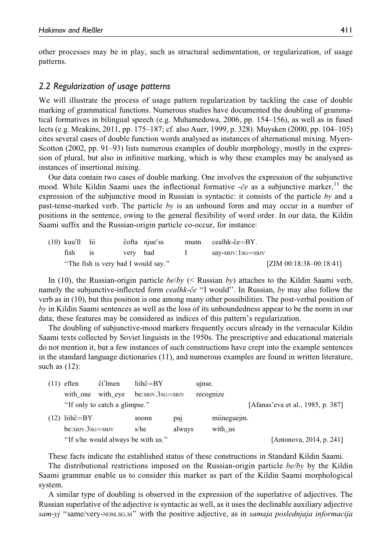other processes may be in play, such as structural sedimentation, or regularization, of usage patterns.

## *2.2 Regularization of usage patterns*

We will illustrate the process of usage pattern regularization by tackling the case of double marking of grammatical functions. Numerous studies have documented the doubling of grammatical formatives in bilingual speech (e.g. Muhamedowa, 2006, pp. 154–156), as well as in fused lects (e.g. Meakins, 2011, pp. 175–187; cf. also Auer, 1999, p. 328). Muysken (2000, pp. 104–105) cites several cases of double function words analysed as instances of alternational mixing. Myers-Scotton (2002, pp. 91–93) lists numerous examples of double morphology, mostly in the expression of plural, but also in infinitive marking, which is why these examples may be analysed as instances of insertional mixing.

Our data contain two cases of double marking. One involves the expression of the subjunctive mood. While Kildin Saami uses the inflectional formative  $-\check{c}e$  as a subjunctive marker,<sup>11</sup> the expression of the subjunctive mood in Russian is syntactic: it consists of the particle by and a past-tense-marked verb. The particle by is an unbound form and may occur in a number of positions in the sentence, owing to the general flexibility of word order. In our data, the Kildin Saami suffix and the Russian-origin particle co-occur, for instance:

| $(10)$ kuu'll lii |                                     |          | čofta njue'ss | munn cealhk-če=BY.         |
|-------------------|-------------------------------------|----------|---------------|----------------------------|
| fish              |                                     | very bad |               | say-sbjv:1sg=sbjv          |
|                   | "The fish is very bad I would say." |          |               | [ZIM $00:18:38-00:18:41$ ] |

In (10), the Russian-origin particle  $be/bv$  (< Russian by) attaches to the Kildin Saami verb, namely the subjunctive-inflected form *cealhk-ce* "I would". In Russian, by may also follow the verb as in (10), but this position is one among many other possibilities. The post-verbal position of by in Kildin Saami sentences as well as the loss of its unboundedness appear to be the norm in our data; these features may be considered as indices of this pattern's regularization.

The doubling of subjunctive-mood markers frequently occurs already in the vernacular Kildin Saami texts collected by Soviet linguists in the 1950s. The prescriptive and educational materials do not mention it, but a few instances of such constructions have crept into the example sentences in the standard language dictionaries (11), and numerous examples are found in written literature, such as (12):

| $(11)$ eften                       | či'lmen                       | $lih\varepsilon = BY$ |                 | u <sub>l</sub> nse. |                                   |
|------------------------------------|-------------------------------|-----------------------|-----------------|---------------------|-----------------------------------|
| with one with eye                  |                               | $be:SBJV.3sG = SBJV$  |                 | recognize           |                                   |
|                                    | "If only to catch a glimpse." |                       |                 |                     | [Afanas'eva et al., 1985, p. 387] |
| $(12)$ liihč=BY                    |                               | soonn                 | pa <sub>1</sub> | miineguejm.         |                                   |
| $be:$ SBJV. $3sG =$ SBJV           |                               | s/he                  | always          | with us             |                                   |
| "If s/he would always be with us." |                               |                       |                 |                     | [Antonova, 2014, p. 241]          |

These facts indicate the established status of these constructions in Standard Kildin Saami.

The distributional restrictions imposed on the Russian-origin particle  $be/bv$  by the Kildin Saami grammar enable us to consider this marker as part of the Kildin Saami morphological system.

A similar type of doubling is observed in the expression of the superlative of adjectives. The Russian superlative of the adjective is syntactic as well, as it uses the declinable auxiliary adjective sam-yj "same/very-NOM.SG.M" with the positive adjective, as in samaja poslednjaja informacija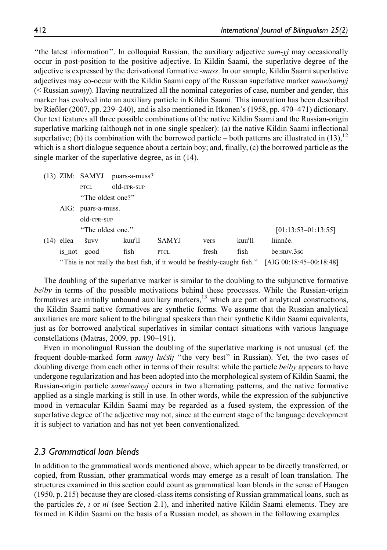''the latest information''. In colloquial Russian, the auxiliary adjective sam-yj may occasionally occur in post-position to the positive adjective. In Kildin Saami, the superlative degree of the adjective is expressed by the derivational formative -muss. In our sample, Kildin Saami superlative adjectives may co-occur with the Kildin Saami copy of the Russian superlative marker *same/samyj* (< Russian samyj). Having neutralized all the nominal categories of case, number and gender, this marker has evolved into an auxiliary particle in Kildin Saami. This innovation has been described by Rießler (2007, pp. 239–240), and is also mentioned in Itkonen's (1958, pp. 470–471) dictionary. Our text features all three possible combinations of the native Kildin Saami and the Russian-origin superlative marking (although not in one single speaker): (a) the native Kildin Saami inflectional superlative; (b) its combination with the borrowed particle – both patterns are illustrated in  $(13)$ ,<sup>12</sup> which is a short dialogue sequence about a certain boy; and, finally, (c) the borrowed particle as the single marker of the superlative degree, as in (14).

|            |                    | $(13)$ ZIM: SAMYJ puars-a-muss?                                         |              |       |        |                         |  |
|------------|--------------------|-------------------------------------------------------------------------|--------------|-------|--------|-------------------------|--|
|            | <b>PTCL</b>        | old-CPR-SUP                                                             |              |       |        |                         |  |
|            | "The oldest one?"  |                                                                         |              |       |        |                         |  |
|            | AIG: puars-a-muss. |                                                                         |              |       |        |                         |  |
|            | old-CPR-SUP        |                                                                         |              |       |        |                         |  |
|            | "The oldest one."  |                                                                         |              |       |        | $[01:13:53-01:13:55]$   |  |
| (14) ellea | šuvv               | kuu'll                                                                  | <b>SAMYJ</b> | vers  | kuu'll | liinnče.                |  |
| is_not     | good               | fish                                                                    | <b>PTCL</b>  | fresh | fish   | be:SBJV.3SG             |  |
|            |                    | "This is not really the best fish, if it would be freshly-caught fish." |              |       |        | [AIG 00:18:45-00:18:48] |  |

The doubling of the superlative marker is similar to the doubling to the subjunctive formative be/by in terms of the possible motivations behind these processes. While the Russian-origin formatives are initially unbound auxiliary markers,  $^{13}$  which are part of analytical constructions, the Kildin Saami native formatives are synthetic forms. We assume that the Russian analytical auxiliaries are more salient to the bilingual speakers than their synthetic Kildin Saami equivalents, just as for borrowed analytical superlatives in similar contact situations with various language constellations (Matras, 2009, pp. 190–191).

Even in monolingual Russian the doubling of the superlative marking is not unusual (cf. the frequent double-marked form *samyj lučšij* "the very best" in Russian). Yet, the two cases of doubling diverge from each other in terms of their results: while the particle *be/by* appears to have undergone regularization and has been adopted into the morphological system of Kildin Saami, the Russian-origin particle same/samyj occurs in two alternating patterns, and the native formative applied as a single marking is still in use. In other words, while the expression of the subjunctive mood in vernacular Kildin Saami may be regarded as a fused system, the expression of the superlative degree of the adjective may not, since at the current stage of the language development it is subject to variation and has not yet been conventionalized.

## *2.3 Grammatical loan blends*

In addition to the grammatical words mentioned above, which appear to be directly transferred, or copied, from Russian, other grammatical words may emerge as a result of loan translation. The structures examined in this section could count as grammatical loan blends in the sense of Haugen (1950, p. 215) because they are closed-class items consisting of Russian grammatical loans, such as the particles  $\dot{z}e$ , i or ni (see Section 2.1), and inherited native Kildin Saami elements. They are formed in Kildin Saami on the basis of a Russian model, as shown in the following examples.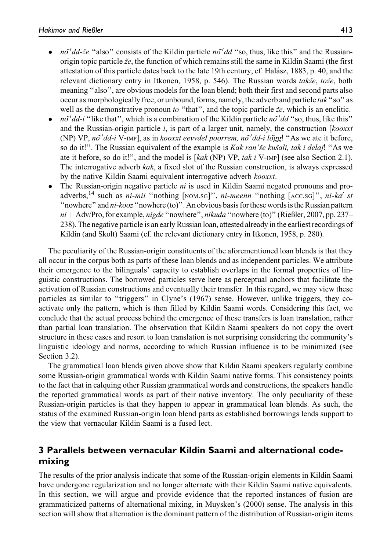- *nõ'dd-že* "also" consists of the Kildin particle *nõ'dd* "so, thus, like this" and the Russianorigin topic particle  $\breve{z}e$ , the function of which remains still the same in Kildin Saami (the first attestation of this particle dates back to the late 19th century, cf. Halász, 1883, p. 40, and the relevant dictionary entry in Itkonen, 1958, p. 546). The Russian words takže, tože, both meaning "also", are obvious models for the loan blend; both their first and second parts also occur as morphologically free, or unbound, forms, namely, the adverb and particle tak ''so'' as well as the demonstrative pronoun to "that", and the topic particle  $\check{z}e$ , which is an enclitic.
- $n\delta' d\delta i$  "like that", which is a combination of the Kildin particle  $n\delta' d\delta$  "so, thus, like this" and the Russian-origin particle  $i$ , is part of a larger unit, namely, the construction [kooxxt] (NP) VP, no dd-i V-IMP], as in kooxxt eevvdel poorrem, no dd-i logg! "As we ate it before, so do it!". The Russian equivalent of the example is *Kak ran'še kušali, tak i delaj*! "As we ate it before, so do it!", and the model is  $\lceil kak \rceil$  (NP) VP, tak i V-IMP] (see also Section 2.1). The interrogative adverb kak, a fixed slot of the Russian construction, is always expressed by the native Kildin Saami equivalent interrogative adverb kooxxt.
- $\bullet$  The Russian-origin negative particle *ni* is used in Kildin Saami negated pronouns and proadverbs,<sup>14</sup> such as  $ni$ -mii "nothing [NOM.SG]",  $ni$ -meenn "nothing [ACC.SG]",  $ni$ -ka' st "nowhere" and *ni-kooz* "nowhere (to)". An obvious basis for these words is the Russian pattern  $ni + Adv/Pro$ , for example, nigde "nowhere", nikuda "nowhere (to)" (Rießler, 2007, pp. 237– 238). The negative particle is an early Russian loan, attested already in the earliest recordings of Kildin (and Skolt) Saami (cf. the relevant dictionary entry in Itkonen, 1958, p. 280).

The peculiarity of the Russian-origin constituents of the aforementioned loan blends is that they all occur in the corpus both as parts of these loan blends and as independent particles. We attribute their emergence to the bilinguals' capacity to establish overlaps in the formal properties of linguistic constructions. The borrowed particles serve here as perceptual anchors that facilitate the activation of Russian constructions and eventually their transfer. In this regard, we may view these particles as similar to ''triggers'' in Clyne's (1967) sense. However, unlike triggers, they coactivate only the pattern, which is then filled by Kildin Saami words. Considering this fact, we conclude that the actual process behind the emergence of these transfers is loan translation, rather than partial loan translation. The observation that Kildin Saami speakers do not copy the overt structure in these cases and resort to loan translation is not surprising considering the community's linguistic ideology and norms, according to which Russian influence is to be minimized (see Section 3.2).

The grammatical loan blends given above show that Kildin Saami speakers regularly combine some Russian-origin grammatical words with Kildin Saami native forms. This consistency points to the fact that in calquing other Russian grammatical words and constructions, the speakers handle the reported grammatical words as part of their native inventory. The only peculiarity of these Russian-origin particles is that they happen to appear in grammatical loan blends. As such, the status of the examined Russian-origin loan blend parts as established borrowings lends support to the view that vernacular Kildin Saami is a fused lect.

# **3 Parallels between vernacular Kildin Saami and alternational codemixing**

The results of the prior analysis indicate that some of the Russian-origin elements in Kildin Saami have undergone regularization and no longer alternate with their Kildin Saami native equivalents. In this section, we will argue and provide evidence that the reported instances of fusion are grammaticized patterns of alternational mixing, in Muysken's (2000) sense. The analysis in this section will show that alternation is the dominant pattern of the distribution of Russian-origin items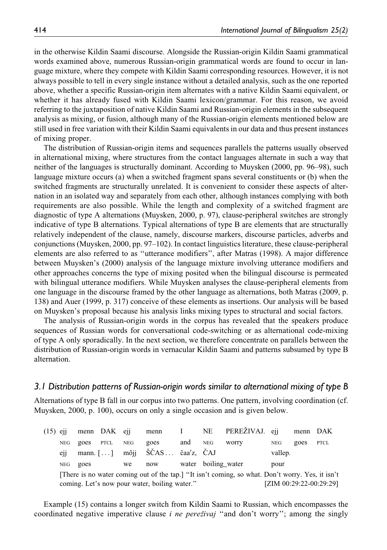in the otherwise Kildin Saami discourse. Alongside the Russian-origin Kildin Saami grammatical words examined above, numerous Russian-origin grammatical words are found to occur in language mixture, where they compete with Kildin Saami corresponding resources. However, it is not always possible to tell in every single instance without a detailed analysis, such as the one reported above, whether a specific Russian-origin item alternates with a native Kildin Saami equivalent, or whether it has already fused with Kildin Saami lexicon/grammar. For this reason, we avoid referring to the juxtaposition of native Kildin Saami and Russian-origin elements in the subsequent analysis as mixing, or fusion, although many of the Russian-origin elements mentioned below are still used in free variation with their Kildin Saami equivalents in our data and thus present instances of mixing proper.

The distribution of Russian-origin items and sequences parallels the patterns usually observed in alternational mixing, where structures from the contact languages alternate in such a way that neither of the languages is structurally dominant. According to Muysken (2000, pp. 96–98), such language mixture occurs (a) when a switched fragment spans several constituents or (b) when the switched fragments are structurally unrelated. It is convenient to consider these aspects of alternation in an isolated way and separately from each other, although instances complying with both requirements are also possible. While the length and complexity of a switched fragment are diagnostic of type A alternations (Muysken, 2000, p. 97), clause-peripheral switches are strongly indicative of type B alternations. Typical alternations of type B are elements that are structurally relatively independent of the clause, namely, discourse markers, discourse particles, adverbs and conjunctions (Muysken, 2000, pp. 97–102). In contact linguistics literature, these clause-peripheral elements are also referred to as ''utterance modifiers'', after Matras (1998). A major difference between Muysken's (2000) analysis of the language mixture involving utterance modifiers and other approaches concerns the type of mixing posited when the bilingual discourse is permeated with bilingual utterance modifiers. While Muysken analyses the clause-peripheral elements from one language in the discourse framed by the other language as alternations, both Matras (2009, p. 138) and Auer (1999, p. 317) conceive of these elements as insertions. Our analysis will be based on Muysken's proposal because his analysis links mixing types to structural and social factors.

The analysis of Russian-origin words in the corpus has revealed that the speakers produce sequences of Russian words for conversational code-switching or as alternational code-mixing of type A only sporadically. In the next section, we therefore concentrate on parallels between the distribution of Russian-origin words in vernacular Kildin Saami and patterns subsumed by type B alternation.

### *3.1 Distribution patterns of Russian-origin words similar to alternational mixing of type B*

Alternations of type B fall in our corpus into two patterns. One pattern, involving coordination (cf. Muysken, 2000, p. 100), occurs on only a single occasion and is given below.

| $(15)$ eji |                 |      | menn DAK eji |     | menn I                                        |     |                     | NE PEREŽIVAJ. eji                                                                                |            | menn DAK |                         |
|------------|-----------------|------|--------------|-----|-----------------------------------------------|-----|---------------------|--------------------------------------------------------------------------------------------------|------------|----------|-------------------------|
|            | <b>NEG</b>      | goes | PTCL         | NEG | goes                                          | and | <b>NEG</b>          | worry                                                                                            | <b>NEG</b> | goes     | PTCL                    |
|            | e <sub>11</sub> |      |              |     | mann. $[\ldots]$ mõji ŠČAS čaa'z, ČAJ         |     |                     |                                                                                                  | vallep.    |          |                         |
|            | NEG             | goes |              | we  | now                                           |     | water boiling water |                                                                                                  | pour       |          |                         |
|            |                 |      |              |     |                                               |     |                     | [There is no water coming out of the tap.] "It isn't coming, so what. Don't worry. Yes, it isn't |            |          |                         |
|            |                 |      |              |     | coming. Let's now pour water, boiling water." |     |                     |                                                                                                  |            |          | [ZIM 00:29:22-00:29:29] |

Example (15) contains a longer switch from Kildin Saami to Russian, which encompasses the coordinated negative imperative clause *i ne pereživaj* "and don't worry"; among the singly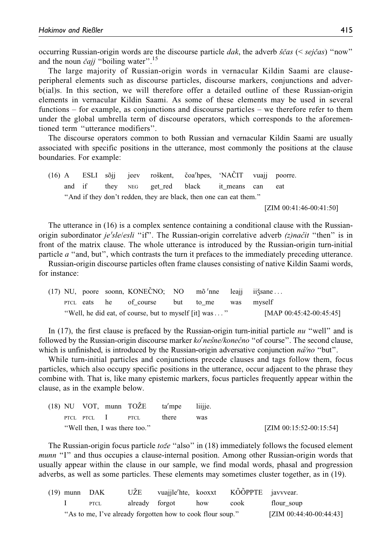occurring Russian-origin words are the discourse particle dak, the adverb  $\check{s}\check{c}$ as  $\check{c}$  (< sej $\check{c}$ as) "now" and the noun čajj "boiling water".<sup>15</sup>

The large majority of Russian-origin words in vernacular Kildin Saami are clauseperipheral elements such as discourse particles, discourse markers, conjunctions and adverb(ial)s. In this section, we will therefore offer a detailed outline of these Russian-origin elements in vernacular Kildin Saami. As some of these elements may be used in several functions – for example, as conjunctions and discourse particles – we therefore refer to them under the global umbrella term of discourse operators, which corresponds to the aforementioned term ''utterance modifiers''.

The discourse operators common to both Russian and vernacular Kildin Saami are usually associated with specific positions in the utterance, most commonly the positions at the clause boundaries. For example:

 $(16)$  A ESLI sõji jeev roškent, čoa'hpes, 'NACIT vuaji poorre. and if they NEG get\_red black it\_means can eat ''And if they don't redden, they are black, then one can eat them.''

[ZIM 00:41:46-00:41:50]

The utterance in (16) is a complex sentence containing a conditional clause with the Russianorigin subordinator je'sle/esli "if". The Russian-origin correlative adverb (z)načit "then" is in front of the matrix clause. The whole utterance is introduced by the Russian-origin turn-initial particle a ''and, but'', which contrasts the turn it prefaces to the immediately preceding utterance.

Russian-origin discourse particles often frame clauses consisting of native Kildin Saami words, for instance:

|  |  | (17) NU, poore soonn, KONECNO; NO mõ'nne leaji ii sane |           |                            |
|--|--|--------------------------------------------------------|-----------|----------------------------|
|  |  | PTCL eats he of course                                 | but to me | was myself                 |
|  |  | "Well, he did eat, of course, but to myself [it] was " |           | [MAP $00:45:42-00:45:45$ ] |

In (17), the first clause is prefaced by the Russian-origin turn-initial particle  $nu$  "well" and is followed by the Russian-origin discourse marker ko'nesne/konecno "of course". The second clause, which is unfinished, is introduced by the Russian-origin adversative conjunction  $n\hat{a}/n\hat{o}$  "but".

While turn-initial particles and conjunctions precede clauses and tags follow them, focus particles, which also occupy specific positions in the utterance, occur adjacent to the phrase they combine with. That is, like many epistemic markers, focus particles frequently appear within the clause, as in the example below.

|  |                  | $(18)$ NU VOT, munn TO $\angle$ E ta'mpe |       | liiiie. |                            |
|--|------------------|------------------------------------------|-------|---------|----------------------------|
|  | PTCL PTCL 1 PTCL |                                          | there | was     |                            |
|  |                  | "Well then, I was there too."            |       |         | [ZIM $00:15:52-00:15:54$ ] |

The Russian-origin focus particle to  $ze$  "also" in (18) immediately follows the focused element munn "I" and thus occupies a clause-internal position. Among other Russian-origin words that usually appear within the clause in our sample, we find modal words, phasal and progression adverbs, as well as some particles. These elements may sometimes cluster together, as in (19).

| $(19)$ munn DAK |                                                            | UŽE            | vuajile'hte, kooxxt |     | KÕÕPPTE javvvear. |                            |
|-----------------|------------------------------------------------------------|----------------|---------------------|-----|-------------------|----------------------------|
|                 | PTCL                                                       | already forgot |                     | how | cook              | flour soup                 |
|                 | "As to me, I've already forgotten how to cook flour soup." |                |                     |     |                   | [ZIM $00:44:40-00:44:43$ ] |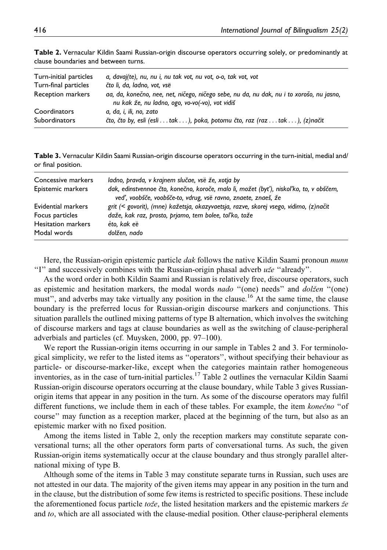| Turn-initial particles<br>Turn-final particles | a, davaj(te), nu, nu i, nu tak vot, nu vot, o-o, tak vot, vot<br>čto li, da, ladno, vot, vsë              |
|------------------------------------------------|-----------------------------------------------------------------------------------------------------------|
| Reception markers                              | aa, da, konečno, nee, net, ničego, ničego sebe, nu da, nu dak, nu i to xorošo, nu jasno,                  |
| Coordinators                                   | nu kak že, nu ladno, ogo, vo-vo(-vo), vot vidiš<br>a, da, i, ili, no, zato                                |
| <b>Subordinators</b>                           | čto, čto by, esli (esli $\dots$ tak $\dots$ ), poka, potomu čto, raz (raz $\dots$ tak $\dots$ ), (z)načit |

**Table 2.** Vernacular Kildin Saami Russian-origin discourse operators occurring solely, or predominantly at clause boundaries and between turns.

**Table 3.** Vernacular Kildin Saami Russian-origin discourse operators occurring in the turn-initial, medial and/ or final position.

| Concessive markers<br>Epistemic markers | ladno, pravda, v krajnem slučae, vse že, xotja by<br>dak, edinstvennoe čto, konečno, koroče, malo li, možet (byť), niskoľko, to, v obščem,<br>veď, voobšče, voobšče-to, vdrug, vsë ravno, znaete, znaeš, že |
|-----------------------------------------|-------------------------------------------------------------------------------------------------------------------------------------------------------------------------------------------------------------|
| Evidential markers                      | grit (< govorit), (mne) kažetsja, okazyvaetsja, razve, skorej vsego, vidimo, (z)načit                                                                                                                       |
| Focus particles                         | daže, kak raz, prosto, prjamo, tem bolee, toľko, tože                                                                                                                                                       |
| <b>Hesitation markers</b>               | èto, kak eë                                                                                                                                                                                                 |
| Modal words                             | dolžen, nado                                                                                                                                                                                                |

Here, the Russian-origin epistemic particle *dak* follows the native Kildin Saami pronoun *munn* "I" and successively combines with the Russian-origin phasal adverb  $u \bar{z}e$  "already".

As the word order in both Kildin Saami and Russian is relatively free, discourse operators, such as epistemic and hesitation markers, the modal words *nado* "(one) needs" and *dolžen* "(one) must", and adverbs may take virtually any position in the clause.<sup>16</sup> At the same time, the clause boundary is the preferred locus for Russian-origin discourse markers and conjunctions. This situation parallels the outlined mixing patterns of type B alternation, which involves the switching of discourse markers and tags at clause boundaries as well as the switching of clause-peripheral adverbials and particles (cf. Muysken, 2000, pp. 97–100).

We report the Russian-origin items occurring in our sample in Tables 2 and 3. For terminological simplicity, we refer to the listed items as ''operators'', without specifying their behaviour as particle- or discourse-marker-like, except when the categories maintain rather homogeneous inventories, as in the case of turn-initial particles.<sup>17</sup> Table 2 outlines the vernacular Kildin Saami Russian-origin discourse operators occurring at the clause boundary, while Table 3 gives Russianorigin items that appear in any position in the turn. As some of the discourse operators may fulfil different functions, we include them in each of these tables. For example, the item konecno "of course'' may function as a reception marker, placed at the beginning of the turn, but also as an epistemic marker with no fixed position.

Among the items listed in Table 2, only the reception markers may constitute separate conversational turns; all the other operators form parts of conversational turns. As such, the given Russian-origin items systematically occur at the clause boundary and thus strongly parallel alternational mixing of type B.

Although some of the items in Table 3 may constitute separate turns in Russian, such uses are not attested in our data. The majority of the given items may appear in any position in the turn and in the clause, but the distribution of some few items is restricted to specific positions. These include the aforementioned focus particle to  $\check{z}e$ , the listed hesitation markers and the epistemic markers  $\check{z}e$ and to, which are all associated with the clause-medial position. Other clause-peripheral elements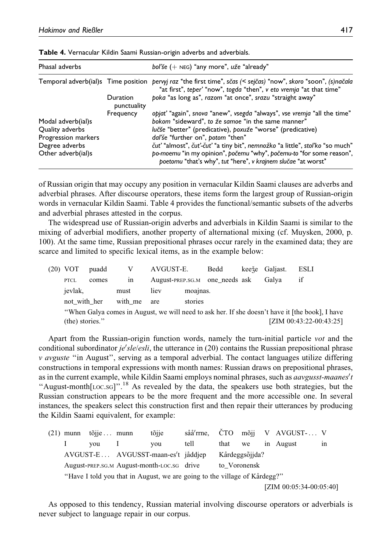| Phasal adverbs                         |                         | boľše $(+)$ NEG) "any more", uže "already"                                                                                                                                                                         |
|----------------------------------------|-------------------------|--------------------------------------------------------------------------------------------------------------------------------------------------------------------------------------------------------------------|
|                                        |                         | Temporal adverb(ial)s Time position pervyj raz "the first time", sčas (< sejčas) "now", skoro "soon", (s)načala<br>"at first", teper' "now", togda "then", v eto vremja "at that time"                             |
|                                        | Duration<br>punctuality | poka "as long as", razom "at once", srazu "straight away"                                                                                                                                                          |
| Modal adverb(ial)s                     | Frequency               | opjat' "again", snova "anew", vsegda "always", vse vremja "all the time"<br>bokom "sideward", to že samoe "in the same manner"                                                                                     |
| Quality adverbs<br>Progression markers |                         | lučše "better" (predicative), poxuže "worse" (predicative)<br>dal'še "further on", potom "then"                                                                                                                    |
| Degree adverbs<br>Other adverb(ial)s   |                         | čuť "almost", čuť-čuť "a tiny bit", nemnožko "a little", stoľko "so much"<br>po-moemu "in my opinion", počemu "why", počemu-to "for some reason",<br>poetomu "that's why", tut "here", v krajnem slučae "at worst" |

**Table 4.** Vernacular Kildin Saami Russian-origin adverbs and adverbials.

of Russian origin that may occupy any position in vernacular Kildin Saami clauses are adverbs and adverbial phrases. After discourse operators, these items form the largest group of Russian-origin words in vernacular Kildin Saami. Table 4 provides the functional/semantic subsets of the adverbs and adverbial phrases attested in the corpus.

The widespread use of Russian-origin adverbs and adverbials in Kildin Saami is similar to the mixing of adverbial modifiers, another property of alternational mixing (cf. Muysken, 2000, p. 100). At the same time, Russian prepositional phrases occur rarely in the examined data; they are scarce and limited to specific lexical items, as in the example below:

|                 | $(20)$ VOT                                                                                      | puadd | V    | AVGUST-E. |  | Bedd                           |  | keeže Galjast. | <b>ESLI</b>                |
|-----------------|-------------------------------------------------------------------------------------------------|-------|------|-----------|--|--------------------------------|--|----------------|----------------------------|
|                 | <b>PTCL</b>                                                                                     | comes | 1n   |           |  | August-PREP.SG.M one needs ask |  | Galva          | if                         |
|                 | jevlak,<br>must                                                                                 |       | liev | moajnas.  |  |                                |  |                |                            |
|                 | not with her<br>with me                                                                         |       | are  | stories   |  |                                |  |                |                            |
|                 | "When Galya comes in August, we will need to ask her. If she doesn't have it [the book], I have |       |      |           |  |                                |  |                |                            |
| (the) stories." |                                                                                                 |       |      |           |  |                                |  |                | [ZIM $00:43:22-00:43:25$ ] |

Apart from the Russian-origin function words, namely the turn-initial particle vot and the conditional subordinator je'sle/esli, the utterance in (20) contains the Russian prepositional phrase v avguste ''in August'', serving as a temporal adverbial. The contact languages utilize differing constructions in temporal expressions with month names: Russian draws on prepositional phrases, as in the current example, while Kildin Saami employs nominal phrases, such as *aavgusst-maanes't* "August-month[LOC.SG]".<sup>18</sup> As revealed by the data, the speakers use both strategies, but the Russian construction appears to be the more frequent and the more accessible one. In several instances, the speakers select this construction first and then repair their utterances by producing the Kildin Saami equivalent, for example:

 $(21)$  munn tõije ... munn tõije saå'rme. ČTO mõii V AVGUST-... V I you I you tell that we in August in AVGUST-E ... AVGUSST-maan-es't jåddjep Kårdeggsõjjda? August-PREP.SG.M August-month-LOC.SG drive to\_Voronensk "Have I told you that in August, we are going to the village of Kårdegg?" [ZIM 00:05:34-00:05:40]

As opposed to this tendency, Russian material involving discourse operators or adverbials is never subject to language repair in our corpus.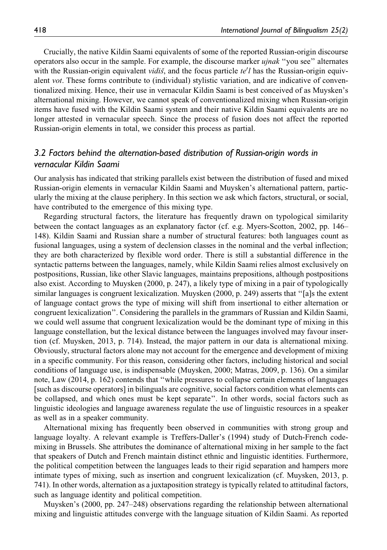Crucially, the native Kildin Saami equivalents of some of the reported Russian-origin discourse operators also occur in the sample. For example, the discourse marker ujnak ''you see'' alternates with the Russian-origin equivalent vidis, and the focus particle te'l has the Russian-origin equivalent vot. These forms contribute to (individual) stylistic variation, and are indicative of conventionalized mixing. Hence, their use in vernacular Kildin Saami is best conceived of as Muysken's alternational mixing. However, we cannot speak of conventionalized mixing when Russian-origin items have fused with the Kildin Saami system and their native Kildin Saami equivalents are no longer attested in vernacular speech. Since the process of fusion does not affect the reported Russian-origin elements in total, we consider this process as partial.

# *3.2 Factors behind the alternation-based distribution of Russian-origin words in vernacular Kildin Saami*

Our analysis has indicated that striking parallels exist between the distribution of fused and mixed Russian-origin elements in vernacular Kildin Saami and Muysken's alternational pattern, particularly the mixing at the clause periphery. In this section we ask which factors, structural, or social, have contributed to the emergence of this mixing type.

Regarding structural factors, the literature has frequently drawn on typological similarity between the contact languages as an explanatory factor (cf. e.g. Myers-Scotton, 2002, pp. 146– 148). Kildin Saami and Russian share a number of structural features: both languages count as fusional languages, using a system of declension classes in the nominal and the verbal inflection; they are both characterized by flexible word order. There is still a substantial difference in the syntactic patterns between the languages, namely, while Kildin Saami relies almost exclusively on postpositions, Russian, like other Slavic languages, maintains prepositions, although postpositions also exist. According to Muysken (2000, p. 247), a likely type of mixing in a pair of typologically similar languages is congruent lexicalization. Muysken (2000, p. 249) asserts that ''[a]s the extent of language contact grows the type of mixing will shift from insertional to either alternation or congruent lexicalization''. Considering the parallels in the grammars of Russian and Kildin Saami, we could well assume that congruent lexicalization would be the dominant type of mixing in this language constellation, but the lexical distance between the languages involved may favour insertion (cf. Muysken, 2013, p. 714). Instead, the major pattern in our data is alternational mixing. Obviously, structural factors alone may not account for the emergence and development of mixing in a specific community. For this reason, considering other factors, including historical and social conditions of language use, is indispensable (Muysken, 2000; Matras, 2009, p. 136). On a similar note, Law (2014, p. 162) contends that ''while pressures to collapse certain elements of languages [such as discourse operators] in bilinguals are cognitive, social factors condition what elements can be collapsed, and which ones must be kept separate''. In other words, social factors such as linguistic ideologies and language awareness regulate the use of linguistic resources in a speaker as well as in a speaker community.

Alternational mixing has frequently been observed in communities with strong group and language loyalty. A relevant example is Treffers-Daller's (1994) study of Dutch-French codemixing in Brussels. She attributes the dominance of alternational mixing in her sample to the fact that speakers of Dutch and French maintain distinct ethnic and linguistic identities. Furthermore, the political competition between the languages leads to their rigid separation and hampers more intimate types of mixing, such as insertion and congruent lexicalization (cf. Muysken, 2013, p. 741). In other words, alternation as a juxtaposition strategy is typically related to attitudinal factors, such as language identity and political competition.

Muysken's (2000, pp. 247–248) observations regarding the relationship between alternational mixing and linguistic attitudes converge with the language situation of Kildin Saami. As reported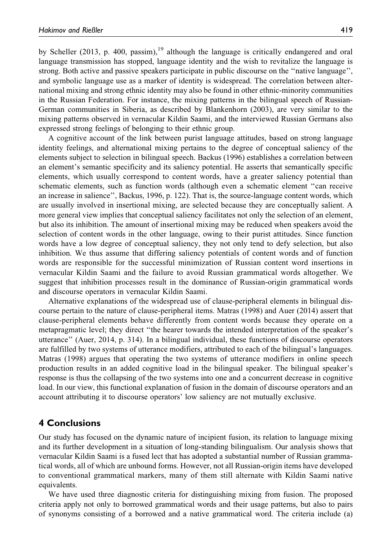by Scheller (2013, p. 400, passim), $19$  although the language is critically endangered and oral language transmission has stopped, language identity and the wish to revitalize the language is strong. Both active and passive speakers participate in public discourse on the ''native language'', and symbolic language use as a marker of identity is widespread. The correlation between alternational mixing and strong ethnic identity may also be found in other ethnic-minority communities in the Russian Federation. For instance, the mixing patterns in the bilingual speech of Russian-German communities in Siberia, as described by Blankenhorn (2003), are very similar to the mixing patterns observed in vernacular Kildin Saami, and the interviewed Russian Germans also expressed strong feelings of belonging to their ethnic group.

A cognitive account of the link between purist language attitudes, based on strong language identity feelings, and alternational mixing pertains to the degree of conceptual saliency of the elements subject to selection in bilingual speech. Backus (1996) establishes a correlation between an element's semantic specificity and its saliency potential. He asserts that semantically specific elements, which usually correspond to content words, have a greater saliency potential than schematic elements, such as function words (although even a schematic element ''can receive an increase in salience'', Backus, 1996, p. 122). That is, the source-language content words, which are usually involved in insertional mixing, are selected because they are conceptually salient. A more general view implies that conceptual saliency facilitates not only the selection of an element, but also its inhibition. The amount of insertional mixing may be reduced when speakers avoid the selection of content words in the other language, owing to their purist attitudes. Since function words have a low degree of conceptual saliency, they not only tend to defy selection, but also inhibition. We thus assume that differing saliency potentials of content words and of function words are responsible for the successful minimization of Russian content word insertions in vernacular Kildin Saami and the failure to avoid Russian grammatical words altogether. We suggest that inhibition processes result in the dominance of Russian-origin grammatical words and discourse operators in vernacular Kildin Saami.

Alternative explanations of the widespread use of clause-peripheral elements in bilingual discourse pertain to the nature of clause-peripheral items. Matras (1998) and Auer (2014) assert that clause-peripheral elements behave differently from content words because they operate on a metapragmatic level; they direct ''the hearer towards the intended interpretation of the speaker's utterance'' (Auer, 2014, p. 314). In a bilingual individual, these functions of discourse operators are fulfilled by two systems of utterance modifiers, attributed to each of the bilingual's languages. Matras (1998) argues that operating the two systems of utterance modifiers in online speech production results in an added cognitive load in the bilingual speaker. The bilingual speaker's response is thus the collapsing of the two systems into one and a concurrent decrease in cognitive load. In our view, this functional explanation of fusion in the domain of discourse operators and an account attributing it to discourse operators' low saliency are not mutually exclusive.

## **4 Conclusions**

Our study has focused on the dynamic nature of incipient fusion, its relation to language mixing and its further development in a situation of long-standing bilingualism. Our analysis shows that vernacular Kildin Saami is a fused lect that has adopted a substantial number of Russian grammatical words, all of which are unbound forms. However, not all Russian-origin items have developed to conventional grammatical markers, many of them still alternate with Kildin Saami native equivalents.

We have used three diagnostic criteria for distinguishing mixing from fusion. The proposed criteria apply not only to borrowed grammatical words and their usage patterns, but also to pairs of synonyms consisting of a borrowed and a native grammatical word. The criteria include (a)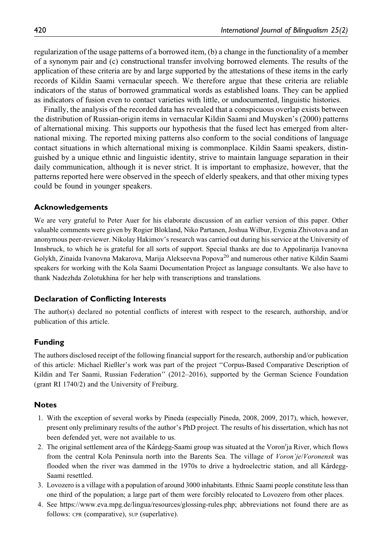regularization of the usage patterns of a borrowed item, (b) a change in the functionality of a member of a synonym pair and (c) constructional transfer involving borrowed elements. The results of the application of these criteria are by and large supported by the attestations of these items in the early records of Kildin Saami vernacular speech. We therefore argue that these criteria are reliable indicators of the status of borrowed grammatical words as established loans. They can be applied as indicators of fusion even to contact varieties with little, or undocumented, linguistic histories.

Finally, the analysis of the recorded data has revealed that a conspicuous overlap exists between the distribution of Russian-origin items in vernacular Kildin Saami and Muysken's (2000) patterns of alternational mixing. This supports our hypothesis that the fused lect has emerged from alternational mixing. The reported mixing patterns also conform to the social conditions of language contact situations in which alternational mixing is commonplace. Kildin Saami speakers, distinguished by a unique ethnic and linguistic identity, strive to maintain language separation in their daily communication, although it is never strict. It is important to emphasize, however, that the patterns reported here were observed in the speech of elderly speakers, and that other mixing types could be found in younger speakers.

### **Acknowledgements**

We are very grateful to Peter Auer for his elaborate discussion of an earlier version of this paper. Other valuable comments were given by Rogier Blokland, Niko Partanen, Joshua Wilbur, Evgenia Zhivotova and an anonymous peer-reviewer. Nikolay Hakimov's research was carried out during his service at the University of Innsbruck, to which he is grateful for all sorts of support. Special thanks are due to Appolinarija Ivanovna Golykh, Zinaida Ivanovna Makarova, Marija Alekseevna Popova<sup>20</sup> and numerous other native Kildin Saami speakers for working with the Kola Saami Documentation Project as language consultants. We also have to thank Nadezhda Zolotukhina for her help with transcriptions and translations.

### **Declaration of Conflicting Interests**

The author(s) declared no potential conflicts of interest with respect to the research, authorship, and/or publication of this article.

## **Funding**

The authors disclosed receipt of the following financial support for the research, authorship and/or publication of this article: Michael Rießler's work was part of the project ''Corpus-Based Comparative Description of Kildin and Ter Saami, Russian Federation" (2012–2016), supported by the German Science Foundation (grant RI 1740/2) and the University of Freiburg.

### **Notes**

- 1. With the exception of several works by Pineda (especially Pineda, 2008, 2009, 2017), which, however, present only preliminary results of the author's PhD project. The results of his dissertation, which has not been defended yet, were not available to us.
- 2. The original settlement area of the Kårdegg-Saami group was situated at the Voron'ja River, which flows from the central Kola Peninsula north into the Barents Sea. The village of Voron'je/Voronensk was flooded when the river was dammed in the 1970s to drive a hydroelectric station, and all Kårdegg-Saami resettled.
- 3. Lovozero is a village with a population of around 3000 inhabitants. Ethnic Saami people constitute less than one third of the population; a large part of them were forcibly relocated to Lovozero from other places.
- 4. See [https://www.eva.mpg.de/lingua/resources/glossing-rules.php;](https://www.eva.mpg.de/lingua/resources/glossing-rules.php) abbreviations not found there are as follows: CPR (comparative), SUP (superlative).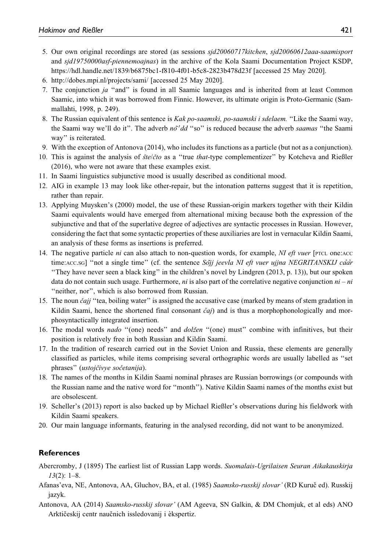- 5. Our own original recordings are stored (as sessions sjd20060717kitchen, sjd20060612aaa-saamisport and sjd19750000asf-piennemoajnas) in the archive of the Kola Saami Documentation Project KSDP, https://hdl.handle.net/1839/b6875bc1-f810-4f01-b5c8-2823b478d23f [accessed 25 May 2020].
- 6.<http://dobes.mpi.nl/projects/sami/> [accessed 25 May 2020].
- 7. The conjunction ja ''and'' is found in all Saamic languages and is inherited from at least Common Saamic, into which it was borrowed from Finnic. However, its ultimate origin is Proto-Germanic (Sammallahti, 1998, p. 249).
- 8. The Russian equivalent of this sentence is Kak po-saamski, po-saamski i sdelaem. ''Like the Saami way, the Saami way we'll do it". The adverb no''dd "so" is reduced because the adverb saamas "the Saami way'' is reiterated.
- 9. With the exception of Antonova (2014), who includes its functions as a particle (but not as a conjunction).
- 10. This is against the analysis of  $\frac{\dot{x}}{\dot{\theta}}$  / $\frac{\dot{x}}{\dot{\theta}}$  as a "true *that*-type complementizer" by Kotcheva and Rießler (2016), who were not aware that these examples exist.
- 11. In Saami linguistics subjunctive mood is usually described as conditional mood.
- 12. AIG in example 13 may look like other-repair, but the intonation patterns suggest that it is repetition, rather than repair.
- 13. Applying Muysken's (2000) model, the use of these Russian-origin markers together with their Kildin Saami equivalents would have emerged from alternational mixing because both the expression of the subjunctive and that of the superlative degree of adjectives are syntactic processes in Russian. However, considering the fact that some syntactic properties of these auxiliaries are lost in vernacular Kildin Saami, an analysis of these forms as insertions is preferred.
- 14. The negative particle ni can also attach to non-question words, for example, NI eft vuer [PTCL one:ACC time:Acc.sG] "not a single time" (cf. the sentence Sojj jeevla NI eft vuer ujjna NEGRITANSKIJ caår ''They have never seen a black king'' in the children's novel by Lindgren (2013, p. 13)), but our spoken data do not contain such usage. Furthermore, *ni* is also part of the correlative negative conjunction  $ni - ni$ ''neither, nor'', which is also borrowed from Russian.
- 15. The noun *čajj* "tea, boiling water" is assigned the accusative case (marked by means of stem gradation in Kildin Saami, hence the shortened final consonant  $\check{c}a\check{j}$  and is thus a morphophonologically and morphosyntactically integrated insertion.
- 16. The modal words nado "(one) needs" and dolžen "(one) must" combine with infinitives, but their position is relatively free in both Russian and Kildin Saami.
- 17. In the tradition of research carried out in the Soviet Union and Russia, these elements are generally classified as particles, while items comprising several orthographic words are usually labelled as ''set phrases" (ustojčivye sočetanija).
- 18. The names of the months in Kildin Saami nominal phrases are Russian borrowings (or compounds with the Russian name and the native word for ''month''). Native Kildin Saami names of the months exist but are obsolescent.
- 19. Scheller's (2013) report is also backed up by Michael Rießler's observations during his fieldwork with Kildin Saami speakers.
- 20. Our main language informants, featuring in the analysed recording, did not want to be anonymized.

# **References**

- Abercromby, J (1895) The earliest list of Russian Lapp words. Suomalais-Ugrilaisen Seuran Aikakauskirja  $13(2): 1-8.$
- Afanas'eva, NE, Antonova, AA, Gluchov, BA, et al. (1985) Saamsko-russkij slovar' (RD Kuruč ed). Russkij jazyk.
- Antonova, AA (2014) Saamsko-russkij slovar' (AM Ageeva, SN Galkin, & DM Chomjuk, et al eds) ANO Arktičeskij centr naučnich issledovanij i èkspertiz.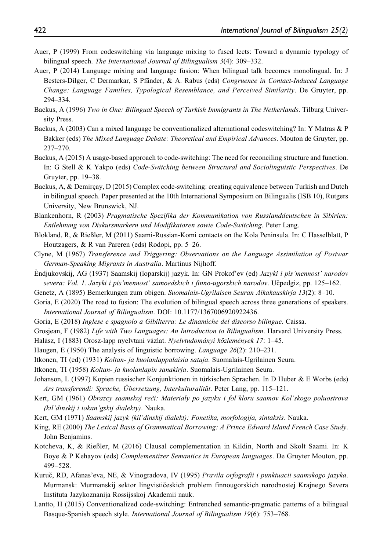- Auer, P (1999) From codeswitching via language mixing to fused lects: Toward a dynamic typology of bilingual speech. The International Journal of Bilingualism 3(4): 309–332.
- Auer, P (2014) Language mixing and language fusion: When bilingual talk becomes monolingual. In: J Besters-Dilger, C Dermarkar, S Pfänder, & A. Rabus (eds) Congruence in Contact-Induced Language Change: Language Families, Typological Resemblance, and Perceived Similarity. De Gruyter, pp. 294–334.
- Backus, A (1996) Two in One: Bilingual Speech of Turkish Immigrants in The Netherlands. Tilburg University Press.
- Backus, A (2003) Can a mixed language be conventionalized alternational codeswitching? In: Y Matras & P Bakker (eds) The Mixed Language Debate: Theoretical and Empirical Advances. Mouton de Gruyter, pp. 237–270.
- Backus, A (2015) A usage-based approach to code-switching: The need for reconciling structure and function. In: G Stell & K Yakpo (eds) Code-Switching between Structural and Sociolinguistic Perspectives. De Gruyter, pp. 19–38.
- Backus, A, & Demircay, D (2015) Complex code-switching: creating equivalence between Turkish and Dutch in bilingual speech. Paper presented at the 10th International Symposium on Bilingualis (ISB 10), Rutgers University, New Brunswick, NJ.
- Blankenhorn, R (2003) Pragmatische Spezifika der Kommunikation von Russlanddeutschen in Sibirien: Entlehnung von Diskursmarkern und Modifikatoren sowie Code-Switching. Peter Lang.
- Blokland, R, & Rießler, M (2011) Saami-Russian-Komi contacts on the Kola Peninsula. In: C Hasselblatt, P Houtzagers, & R van Pareren (eds) Rodopi, pp. 5–26.
- Clyne, M (1967) Transference and Triggering: Observations on the Language Assimilation of Postwar German-Speaking Migrants in Australia. Martinus Nijhoff.
- Endjukovskij, AG (1937) Saamskij (loparskij) jazyk. In: GN Prokof'ev (ed) Jazyki i pis'mennost' narodov severa: Vol. 1. Jazyki i pis'mennost' samoedskich i finno-ugorskich narodov. Učpedgiz, pp. 125-162.
- Genetz, A (1895) Bemerkungen zum obigen. Suomalais-Ugrilaisen Seuran Aikakauskirja 13(2): 8–10.
- Goria, E (2020) The road to fusion: The evolution of bilingual speech across three generations of speakers. International Journal of Bilingualism. DOI: 10.1177/1367006920922436.
- Goria, E (2018) Inglese e spagnolo a Gibilterra: Le dinamiche del discorso bilingue. Caissa.
- Grosjean, F (1982) Life with Two Languages: An Introduction to Bilingualism. Harvard University Press.
- Halász, I (1883) Orosz-lapp nyelvtani vázlat. Nyelvtudományi közlemények 17: 1–45.
- Haugen, E (1950) The analysis of linguistic borrowing. Language 26(2): 210–231.
- Itkonen, TI (ed) (1931) Koltan- ja kuolanlappalaisia satuja. Suomalais-Ugrilainen Seura.
- Itkonen, TI (1958) Koltan- ja kuolanlapin sanakirja. Suomalais-Ugrilainen Seura.
- Johanson, L (1997) Kopien russischer Konjunktionen in türkischen Sprachen. In D Huber & E Worbs (eds) Ars transferendi: Sprache, Übersetzung, Interkulturalität. Peter Lang, pp. 115–121.
- Kert, GM (1961) Obrazcy saamskoj reči: Materialy po jazyku i fol'kloru saamov Kol'skogo poluostrova (kil'dinskij i iokan'gskij dialekty). Nauka.
- Kert, GM (1971) Saamskij jazyk (kil'dinskij dialekt): Fonetika, morfologija, sintaksis. Nauka.
- King, RE (2000) The Lexical Basis of Grammatical Borrowing: A Prince Edward Island French Case Study. John Benjamins.
- Kotcheva, K, & Rießler, M (2016) Clausal complementation in Kildin, North and Skolt Saami. In: K Boye & P Kehayov (eds) Complementizer Semantics in European languages. De Gruyter Mouton, pp. 499–528.
- Kuruč, RD, Afanas'eva, NE, & Vinogradova, IV (1995) Pravila orfografii i punktuacii saamskogo jazyka. Murmansk: Murmanskij sektor lingvističeskich problem finnougorskich narodnostej Krajnego Severa Instituta Jazykoznanija Rossijsskoj Akademii nauk.
- Lantto, H (2015) Conventionalized code-switching: Entrenched semantic-pragmatic patterns of a bilingual Basque-Spanish speech style. International Journal of Bilingualism 19(6): 753–768.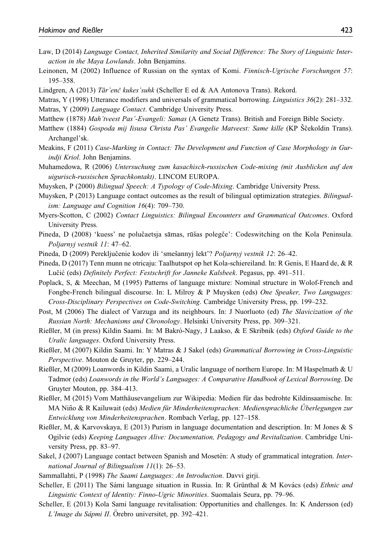- Law, D (2014) Language Contact, Inherited Similarity and Social Difference: The Story of Linguistic Interaction in the Maya Lowlands. John Benjamins.
- Leinonen, M (2002) Influence of Russian on the syntax of Komi. Finnisch-Ugrische Forschungen 57: 195–358.
- Lindgren, A (2013) Tār'enč kukes'suhk (Scheller E ed & AA Antonova Trans). Rekord.
- Matras, Y (1998) Utterance modifiers and universals of grammatical borrowing. *Linguistics* 36(2): 281–332.
- Matras, Y (2009) Language Contact. Cambridge University Press.
- Matthew (1878) Mah'tveest Pas'-Evangeli: Samas (A Genetz Trans). British and Foreign Bible Society.
- Matthew (1884) Gospoda mij Iisusa Christa Pas' Evangelie Matveest: Same kille (KP Sčekoldin Trans). Archangel'sk.
- Meakins, F (2011) Case-Marking in Contact: The Development and Function of Case Morphology in Gurindji Kriol. John Benjamins.
- Muhamedowa, R (2006) Untersuchung zum kasachisch-russischen Code-mixing (mit Ausblicken auf den uigurisch-russischen Sprachkontakt). LINCOM EUROPA.
- Muysken, P (2000) Bilingual Speech: A Typology of Code-Mixing. Cambridge University Press.
- Muysken, P (2013) Language contact outcomes as the result of bilingual optimization strategies. *Bilingual*ism: Language and Cognition 16(4): 709–730.
- Myers-Scotton, C (2002) Contact Linguistics: Bilingual Encounters and Grammatical Outcomes. Oxford University Press.
- Pineda, D (2008) 'kuess' ne polučaetsja sāmas, rūšas polegče': Codeswitching on the Kola Peninsula. Poljarnyj vestnik 11: 47–62.
- Pineda, D (2009) Pereključenie kodov ili 'smešannyj lekt'? Poljarnyj vestnik 12: 26–42.
- Pineda, D (2017) Tenn munn ne otricaju: Taalhutspot op het Kola-schiereiland. In: R Genis, E Haard de, & R Lučić (eds) Definitely Perfect: Festschrift for Janneke Kalsbeek. Pegasus, pp. 491–511.
- Poplack, S, & Meechan, M (1995) Patterns of language mixture: Nominal structure in Wolof-French and Fongbe-French bilingual discourse. In: L Milroy & P Muysken (eds) One Speaker, Two Languages: Cross-Disciplinary Perspectives on Code-Switching. Cambridge University Press, pp. 199–232.
- Post, M (2006) The dialect of Varzuga and its neighbours. In: J Nuorluoto (ed) The Slavicization of the Russian North: Mechanisms and Chronology. Helsinki University Press, pp. 309–321.
- Rießler, M (in press) Kildin Saami. In: M Bakró-Nagy, J Laakso, & E Skribnik (eds) Oxford Guide to the Uralic languages. Oxford University Press.
- Rießler, M (2007) Kildin Saami. In: Y Matras & J Sakel (eds) Grammatical Borrowing in Cross-Linguistic Perspective. Mouton de Gruyter, pp. 229–244.
- Rießler, M (2009) Loanwords in Kildin Saami, a Uralic language of northern Europe. In: M Haspelmath & U Tadmor (eds) Loanwords in the World's Languages: A Comparative Handbook of Lexical Borrowing. De Gruyter Mouton, pp. 384–413.
- Rießler, M (2015) Vom Matthäusevangelium zur Wikipedia: Medien für das bedrohte Kildinsaamische. In: MA Niño & R Kailuwait (eds) Medien für Minderheitensprachen: Mediensprachliche Überlegungen zur Entwicklung von Minderheitensprachen. Rombach Verlag, pp. 127–158.
- Rießler, M, & Karvovskaya, E (2013) Purism in language documentation and description. In: M Jones & S Ogilvie (eds) Keeping Languages Alive: Documentation, Pedagogy and Revitalization. Cambridge University Press, pp. 83–97.
- Sakel, J (2007) Language contact between Spanish and Mosetén: A study of grammatical integration. *Inter*national Journal of Bilingualism 11(1): 26–53.
- Sammallahti, P (1998) The Saami Languages: An Introduction. Davvi girji.
- Scheller, E (2011) The Sámi language situation in Russia. In: R Grünthal & M Kovács (eds) Ethnic and Linguistic Context of Identity: Finno-Ugric Minorities. Suomalais Seura, pp. 79–96.
- Scheller, E (2013) Kola Sami language revitalisation: Opportunities and challenges. In: K Andersson (ed)  $L'Image$  du Sápmi II. Örebro universitet, pp. 392–421.